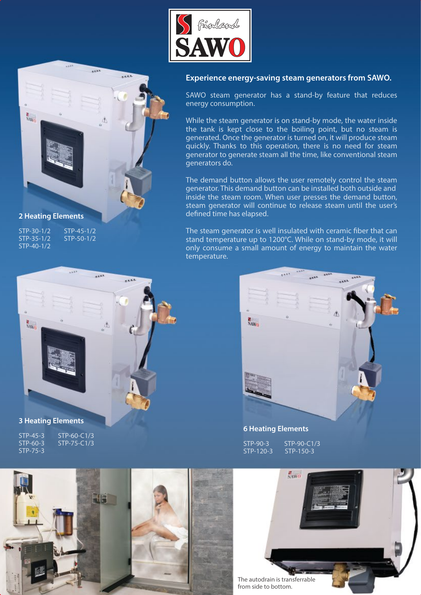



### **2 Heating Elements**

STP-30-1/2 STP-45-1/2<br>STP-35-1/2 STP-50-1/2  $STP-35-1/2$ STP-40-1/2

# **Experience energy-saving steam generators from SAWO.**

SAWO steam generator has a stand-by feature that reduces energy consumption.

While the steam generator is on stand-by mode, the water inside the tank is kept close to the boiling point, but no steam is generated. Once the generator is turned on, it will produce steam quickly. Thanks to this operation, there is no need for steam generator to generate steam all the time, like conventional steam generators do.

The demand button allows the user remotely control the steam generator. This demand button can be installed both outside and inside the steam room. When user presses the demand button, steam generator will continue to release steam until the user's defined time has elapsed.

The steam generator is well insulated with ceramic fiber that can stand temperature up to 1200°C. While on stand-by mode, it will only consume a small amount of energy to maintain the water temperature.



## **6 Heating Elements**

STP-90-3 STP-90-C1/3<br>STP-120-3 STP-150-3

STP-150-3





HH

#### **3 Heating Elements**

STP-45-3 STP-60-C1/3<br>STP-60-3 STP-75-C1/3 STP-75-3

STP-75-C1/3